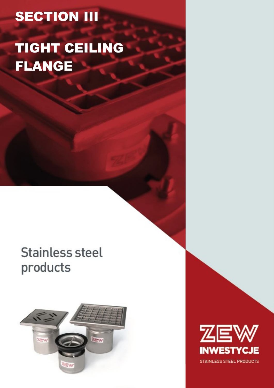# **SECTION III**

## TIGHT CEILING FLANGE

### **Stainless steel** products



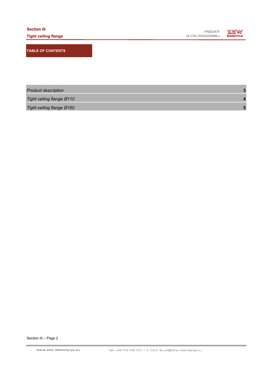**ZEW**<br>Inwestycje PRODUKTY ZE STALI NIERDZEWNEJ

**TABLE OF CONTENTS**

| <b>Product description</b> |  |
|----------------------------|--|
| Tight ceiling flange Ø110  |  |
| Tight ceiling flange Ø160  |  |

Section III – Page 2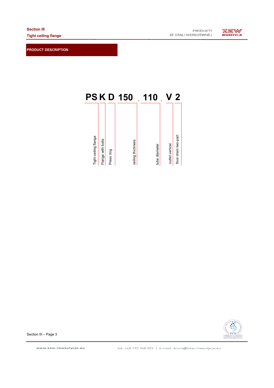**PRODUCT DESCRIPTION**

**ZEW** 





Section III – Page 3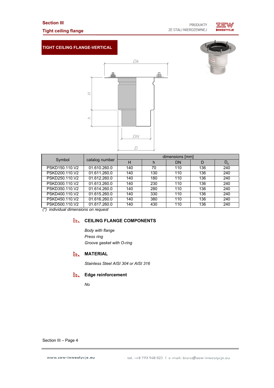#### **Section III**

#### **Tight ceiling flange**



#### **TIGHT CEILING FLANGE-VERTICAL**

 $\pm$ 

 $\mathcal{L}$ 



| Symbol         | catalog number | dimensions [mm] |     |     |     |             |  |
|----------------|----------------|-----------------|-----|-----|-----|-------------|--|
|                |                | н               | h   | DN  | D   | $D_{\rm K}$ |  |
| PSKD150.110.V2 | 01.610.260.0   | 140             | 70  | 110 | 136 | 240         |  |
| PSKD200.110.V2 | 01.611.260.0   | 140             | 130 | 110 | 136 | 240         |  |
| PSKD250.110.V2 | 01.612.260.0   | 140             | 180 | 110 | 136 | 240         |  |
| PSKD300.110.V2 | 01.613.260.0   | 140             | 230 | 110 | 136 | 240         |  |
| PSKD350.110.V2 | 01.614.260.0   | 140             | 280 | 110 | 136 | 240         |  |
| PSKD400.110.V2 | 01.615.260.0   | 140             | 330 | 110 | 136 | 240         |  |
| PSKD450.110.V2 | 01.616.260.0   | 140             | 380 | 110 | 136 | 240         |  |
| PSKD500.110.V2 | 01.617.260.0   | 140             | 430 | 110 | 136 | 240         |  |

*(\*) individual dimensions on request*

#### **CEILING FLANGE COMPONENTS**

*Body with flange Press ring Groove gasket with O-ring*

#### **ELL MATERIAL**

*Stainless Steel AISI 304 or AISI 316*

#### **Edge reinforcement**

*No*

Section III – Page 4

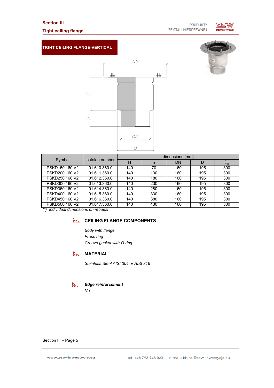#### **Section III**

#### **Tight ceiling flange**



#### **TIGHT CEILING FLANGE-VERTICAL**





| Symbol         | catalog number | dimensions [mm] |     |     |     |             |
|----------------|----------------|-----------------|-----|-----|-----|-------------|
|                |                | н               | h   | DΝ  | D   | $D_{\rm K}$ |
| PSKD150.160.V2 | 01.610.360.0   | 140             | 70  | 160 | 195 | 300         |
| PSKD200.160.V2 | 01.611.360.0   | 140             | 130 | 160 | 195 | 300         |
| PSKD250.160.V2 | 01.612.360.0   | 140             | 180 | 160 | 195 | 300         |
| PSKD300.160.V2 | 01.613.360.0   | 140             | 230 | 160 | 195 | 300         |
| PSKD350.160.V2 | 01.614.360.0   | 140             | 280 | 160 | 195 | 300         |
| PSKD400.160.V2 | 01.615.360.0   | 140             | 330 | 160 | 195 | 300         |
| PSKD450.160.V2 | 01.616.360.0   | 140             | 380 | 160 | 195 | 300         |
| PSKD500.160.V2 | 01.617.360.0   | 140             | 430 | 160 | 195 | 300         |

*(\*) individual dimensions on request*

#### **CEILING FLANGE COMPONENTS**

*Body with flange Press ring Groove gasket with O-ring*

#### **ELL MATERIAL**

*Stainless Steel AISI 304 or AISI 316*

#### ЕE. *Edge reinforcement*

*No*

Section III – Page 5